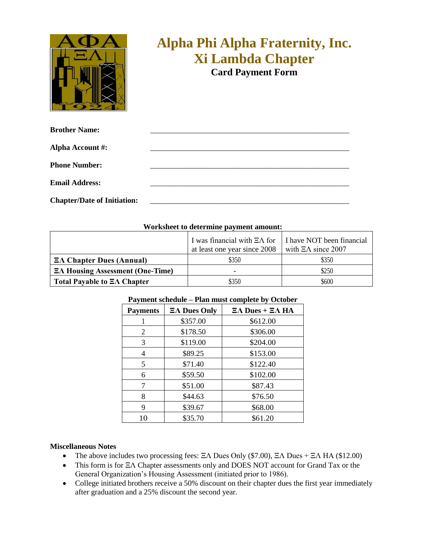

## **Alpha Phi Alpha Fraternity, Inc. Xi Lambda Chapter**

**Card Payment Form**

| <b>Brother Name:</b>               |  |
|------------------------------------|--|
| <b>Alpha Account #:</b>            |  |
| <b>Phone Number:</b>               |  |
|                                    |  |
| <b>Email Address:</b>              |  |
| <b>Chapter/Date of Initiation:</b> |  |

## **Worksheet to determine payment amount:**

|                                          | I was financial with $\Xi \Lambda$ for   I have NOT been financial<br>at least one year since 2008 | with $\Xi \Lambda$ since 2007 |
|------------------------------------------|----------------------------------------------------------------------------------------------------|-------------------------------|
| $E\Lambda$ Chapter Dues (Annual)         | \$350                                                                                              | \$350                         |
| $E\Lambda$ Housing Assessment (One-Time) | -                                                                                                  | \$250                         |
| Total Payable to $\Xi\Lambda$ Chapter    | \$350                                                                                              | \$600                         |

| I ayment senegare - I fan mast complete by October |                         |                                       |  |  |
|----------------------------------------------------|-------------------------|---------------------------------------|--|--|
| <b>Payments</b>                                    | $\Xi \Lambda$ Dues Only | $\Xi \Lambda$ Dues + $\Xi \Lambda$ HA |  |  |
|                                                    | \$357.00                | \$612.00                              |  |  |
| 2                                                  | \$178.50                | \$306.00                              |  |  |
| 3                                                  | \$119.00                | \$204.00                              |  |  |
| 4                                                  | \$89.25                 | \$153.00                              |  |  |
| 5                                                  | \$71.40                 | \$122.40                              |  |  |
| 6                                                  | \$59.50                 | \$102.00                              |  |  |
|                                                    | \$51.00                 | \$87.43                               |  |  |
| 8                                                  | \$44.63                 | \$76.50                               |  |  |
| 9                                                  | \$39.67                 | \$68.00                               |  |  |
| 10                                                 | \$35.70                 | \$61.20                               |  |  |

## **Payment schedule – Plan must complete by October**

## **Miscellaneous Notes**

- The above includes two processing fees: ΞΛ Dues Only (\$7.00), ΞΛ Dues + ΞΛ ΗΑ (\$12.00)
- This form is for ΞΛ Chapter assessments only and DOES NOT account for Grand Tax or the General Organization's Housing Assessment (initiated prior to 1986).
- College initiated brothers receive a 50% discount on their chapter dues the first year immediately after graduation and a 25% discount the second year.